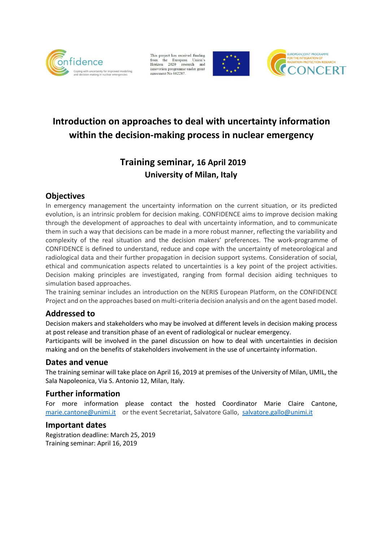

This project has received funding from the European Union's<br>Horizon 2020 research and<br>innovation programme under grant agreement No 662287





# **Introduction on approaches to deal with uncertainty information within the decision-making process in nuclear emergency**

## **Training seminar, 16 April 2019 University of Milan, Italy**

### **Objectives**

In emergency management the uncertainty information on the current situation, or its predicted evolution, is an intrinsic problem for decision making. CONFIDENCE aims to improve decision making through the development of approaches to deal with uncertainty information, and to communicate them in such a way that decisions can be made in a more robust manner, reflecting the variability and complexity of the real situation and the decision makers' preferences. The work-programme of CONFIDENCE is defined to understand, reduce and cope with the uncertainty of meteorological and radiological data and their further propagation in decision support systems. Consideration of social, ethical and communication aspects related to uncertainties is a key point of the project activities. Decision making principles are investigated, ranging from formal decision aiding techniques to simulation based approaches.

The training seminar includes an introduction on the NERIS European Platform, on the CONFIDENCE Project and on the approaches based on multi-criteria decision analysis and on the agent based model.

#### **Addressed to**

Decision makers and stakeholders who may be involved at different levels in decision making process at post release and transition phase of an event of radiological or nuclear emergency.

Participants will be involved in the panel discussion on how to deal with uncertainties in decision making and on the benefits of stakeholders involvement in the use of uncertainty information.

#### **Dates and venue**

The training seminar will take place on April 16, 2019 at premises of the University of Milan, UMIL, the Sala Napoleonica, Via S. Antonio 12, Milan, Italy.

#### **Further information**

For more information please contact the hosted Coordinator Marie Claire Cantone, [marie.cantone@unimi.it](mailto:marie.cantone@unimi.it) or the event Secretariat, Salvatore Gallo, [salvatore.gallo@unimi.it](mailto:salvatore.gallo@unimi.it)

#### **Important dates**

Registration deadline: March 25, 2019 Training seminar: April 16, 2019